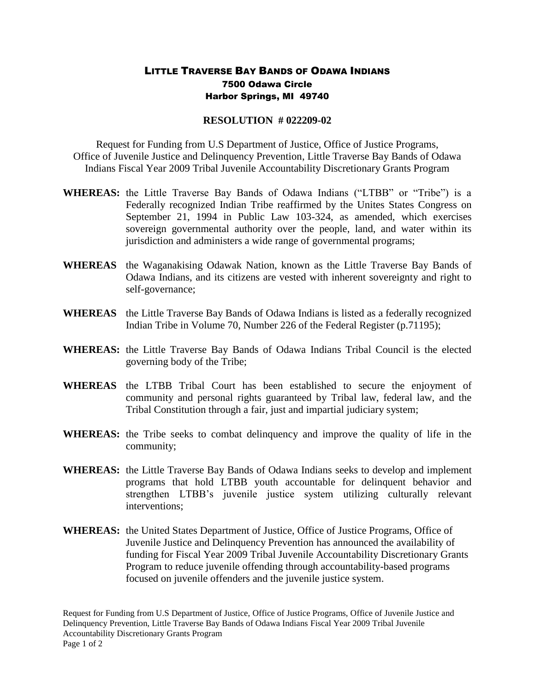## LITTLE TRAVERSE BAY BANDS OF ODAWA INDIANS 7500 Odawa Circle Harbor Springs, MI 49740

## **RESOLUTION # 022209-02**

Request for Funding from U.S Department of Justice, Office of Justice Programs, Office of Juvenile Justice and Delinquency Prevention, Little Traverse Bay Bands of Odawa Indians Fiscal Year 2009 Tribal Juvenile Accountability Discretionary Grants Program

- **WHEREAS:** the Little Traverse Bay Bands of Odawa Indians ("LTBB" or "Tribe") is a Federally recognized Indian Tribe reaffirmed by the Unites States Congress on September 21, 1994 in Public Law 103-324, as amended, which exercises sovereign governmental authority over the people, land, and water within its jurisdiction and administers a wide range of governmental programs;
- **WHEREAS** the Waganakising Odawak Nation, known as the Little Traverse Bay Bands of Odawa Indians, and its citizens are vested with inherent sovereignty and right to self-governance;
- **WHEREAS** the Little Traverse Bay Bands of Odawa Indians is listed as a federally recognized Indian Tribe in Volume 70, Number 226 of the Federal Register (p.71195);
- **WHEREAS:** the Little Traverse Bay Bands of Odawa Indians Tribal Council is the elected governing body of the Tribe;
- **WHEREAS** the LTBB Tribal Court has been established to secure the enjoyment of community and personal rights guaranteed by Tribal law, federal law, and the Tribal Constitution through a fair, just and impartial judiciary system;
- **WHEREAS:** the Tribe seeks to combat delinquency and improve the quality of life in the community;
- **WHEREAS:** the Little Traverse Bay Bands of Odawa Indians seeks to develop and implement programs that hold LTBB youth accountable for delinquent behavior and strengthen LTBB's juvenile justice system utilizing culturally relevant interventions;
- **WHEREAS:** the United States Department of Justice, Office of Justice Programs, Office of Juvenile Justice and Delinquency Prevention has announced the availability of funding for Fiscal Year 2009 Tribal Juvenile Accountability Discretionary Grants Program to reduce juvenile offending through accountability-based programs focused on juvenile offenders and the juvenile justice system.

Request for Funding from U.S Department of Justice, Office of Justice Programs, Office of Juvenile Justice and Delinquency Prevention, Little Traverse Bay Bands of Odawa Indians Fiscal Year 2009 Tribal Juvenile Accountability Discretionary Grants Program Page 1 of 2